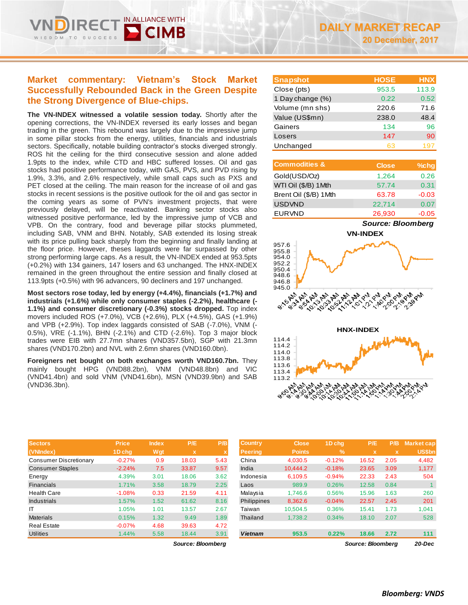# **Market commentary: Vietnam's Stock Market Successfully Rebounded Back in the Green Despite the Strong Divergence of Blue-chips.**

IN ALLIANCE WITH

**The VN-INDEX witnessed a volatile session today.** Shortly after the opening corrections, the VN-INDEX reversed its early losses and began trading in the green. This rebound was largely due to the impressive jump in some pillar stocks from the energy, utilities, financials and industrials sectors. Specifically, notable building contractor's stocks diverged strongly. ROS hit the ceiling for the third consecutive session and alone added 1.9pts to the index, while CTD and HBC suffered losses. Oil and gas stocks had positive performance today, with GAS, PVS, and PVD rising by 1.9%, 3.3%, and 2.6% respectively, while small caps such as PXS and PET closed at the ceiling. The main reason for the increase of oil and gas stocks in recent sessions is the positive outlook for the oil and gas sector in the coming years as some of PVN's investment projects, that were previously delayed, will be reactivated. Banking sector stocks also witnessed positive performance, led by the impressive jump of VCB and VPB. On the contrary, food and beverage pillar stocks plummeted, including SAB, VNM and BHN. Notably, SAB extended its losing streak with its price pulling back sharply from the beginning and finally landing at the floor price. However, theses laggards were far surpassed by other strong performing large caps. As a result, the VN-INDEX ended at 953.5pts (+0.2%) with 134 gainers, 147 losers and 63 unchanged. The HNX-INDEX remained in the green throughout the entire session and finally closed at 113.9pts (+0.5%) with 96 advancers, 90 decliners and 197 unchanged.

**Most sectors rose today, led by energy (+4.4%), financials (+1.7%) and industrials (+1.6%) while only consumer staples (-2.2%), healthcare (- 1.1%) and consumer discretionary (-0.3%) stocks dropped.** Top index movers included ROS (+7.0%), VCB (+2.6%), PLX (+4.5%), GAS (+1.9%) and VPB (+2.9%). Top index laggards consisted of SAB (-7.0%), VNM (- 0.5%), VRE (-1.1%), BHN (-2.1%) and CTD (-2.6%). Top 3 major block trades were EIB with 27.7mn shares (VND357.5bn), SGP with 21.3mn shares (VND170.2bn) and NVL with 2.6mn shares (VND160.0bn).

**Foreigners net bought on both exchanges worth VND160.7bn.** They mainly bought HPG (VND88.2bn), VNM (VND48.8bn) and VIC (VND41.4bn) and sold VNM (VND41.6bn), MSN (VND39.9bn) and SAB (VND36.3bn).

| <b>Sectors</b>                | <b>Price</b> | <b>Index</b> | PE <sup>1</sup>           | P/B  | <b>Country</b> | <b>Close</b>  | 1D chq        | P/E         | P/B         | <b>Market cap</b> |
|-------------------------------|--------------|--------------|---------------------------|------|----------------|---------------|---------------|-------------|-------------|-------------------|
| (VNIndex)                     | 1D chg       | Wgt          | $\boldsymbol{\mathsf{x}}$ |      | <b>Peering</b> | <b>Points</b> | $\frac{9}{6}$ | $\mathbf x$ | $\mathbf x$ | US\$bn            |
| <b>Consumer Discretionary</b> | $-0.27%$     | 0.9          | 18.03                     | 5.43 | China          | 4,030.5       | $-0.12%$      | 16.52       | 2.05        | 4,482             |
| <b>Consumer Staples</b>       | $-2.24%$     | 7.5          | 33.87                     | 9.57 | India          | 10.444.2      | $-0.18%$      | 23.65       | 3.09        | 1,177             |
| Energy                        | 4.39%        | 3.01         | 18.06                     | 3.62 | Indonesia      | 6,109.5       | $-0.94%$      | 22.33       | 2.43        | 504               |
| Financials                    | 1.71%        | 3.58         | 18.79                     | 2.25 | Laos           | 989.9         | 0.26%         | 12.58       | 0.84        |                   |
| <b>Health Care</b>            | $-1.08%$     | 0.33         | 21.59                     | 4.11 | Malaysia       | 1.746.6       | 0.56%         | 15.96       | 1.63        | 260               |
| Industrials                   | 1.57%        | 1.52         | 61.62                     | 8.16 | Philippines    | 8,362.6       | $-0.04%$      | 22.57       | 2.45        | 201               |
| IT                            | 1.05%        | 1.01         | 13.57                     | 2.67 | Taiwan         | 10.504.5      | 0.36%         | 15.41       | 1.73        | 1,041             |
| <b>Materials</b>              | 0.15%        | 1.32         | 9.49                      | 1.89 | Thailand       | 1.738.2       | 0.34%         | 18.10       | 2.07        | 528               |
| <b>Real Estate</b>            | $-0.07%$     | 4.68         | 39.63                     | 4.72 |                |               |               |             |             |                   |
| <b>Utilities</b>              | 1.44%        | 5.58         | 18.44                     | 3.91 | <b>Vietnam</b> | 953.5         | 0.22%         | 18.66       | 2.72        | 111               |

 $Source: Bloomberg$ 

| <b>Snapshot</b>  | <b>HOSE</b> | <b>HNX</b> |
|------------------|-------------|------------|
| Close (pts)      | 953.5       | 113.9      |
| 1 Day change (%) | 0.22        | 0.52       |
| Volume (mn shs)  | 220.6       | 71.6       |
| Value (US\$mn)   | 238.0       | 48.4       |
| Gainers          | 134         | 96         |
| Losers           | 147         | 90         |
| Unchanged        | 63          | 197        |

| <b>Commodities &amp;</b> | <b>Close</b> | $%$ chg |
|--------------------------|--------------|---------|
| Gold(USD/Oz)             | 1,264        | 0.26    |
| WTI Oil (\$/B) 1Mth      | 57.74        | 0.31    |
| Brent Oil (\$/B) 1Mth    | 63.78        | $-0.03$ |
| <b>USDVND</b>            | 22.714       | 0.07    |
| <b>EURVND</b>            | 26,930       | $-0.05$ |

*Source: Bloomberg*





| <b>Country</b><br><b>Peering</b> | <b>Close</b><br><b>Points</b> | 1D chq<br>%              | P/E<br>$\mathbf x$ | P/B<br>$\mathbf x$ | <b>Market cap</b><br><b>US\$bn</b> |  |  |  |
|----------------------------------|-------------------------------|--------------------------|--------------------|--------------------|------------------------------------|--|--|--|
| China                            | 4,030.5                       | $-0.12%$                 | 16.52              | 2.05               | 4,482                              |  |  |  |
| India                            | 10.444.2                      | $-0.18%$                 | 23.65              | 3.09               | 1,177                              |  |  |  |
| Indonesia                        | 6.109.5                       | $-0.94%$                 | 22.33              | 2.43               | 504                                |  |  |  |
| Laos                             | 989.9                         | 0.26%                    | 12.58              | 0.84               | 1                                  |  |  |  |
| Malaysia                         | 1.746.6                       | 0.56%                    | 15.96              | 1.63               | 260                                |  |  |  |
| Philippines                      | 8,362.6                       | $-0.04%$                 | 22.57              | 2.45               | 201                                |  |  |  |
| Taiwan                           | 10.504.5                      | 0.36%                    | 15.41              | 1.73               | 1.041                              |  |  |  |
| Thailand                         | 1.738.2                       | 0.34%                    | 18.10              | 2.07               | 528                                |  |  |  |
|                                  |                               |                          |                    |                    |                                    |  |  |  |
| <b>Vietnam</b>                   | 953.5                         | 0.22%                    | 18.66              | 2.72               | 111                                |  |  |  |
|                                  |                               | <b>Source: Bloombera</b> |                    |                    |                                    |  |  |  |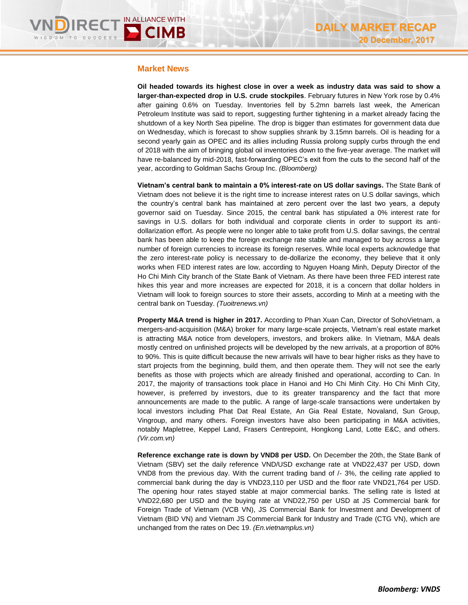### **Market News**

**Oil headed towards its highest close in over a week as industry data was said to show a larger-than-expected drop in U.S. crude stockpiles**. February futures in New York rose by 0.4% after gaining 0.6% on Tuesday. Inventories fell by 5.2mn barrels last week, the American Petroleum Institute was said to report, suggesting further tightening in a market already facing the shutdown of a key North Sea pipeline. The drop is bigger than estimates for government data due on Wednesday, which is forecast to show supplies shrank by 3.15mn barrels. Oil is heading for a second yearly gain as OPEC and its allies including Russia prolong supply curbs through the end of 2018 with the aim of bringing global oil inventories down to the five-year average. The market will have re-balanced by mid-2018, fast-forwarding OPEC's exit from the cuts to the second half of the year, according to Goldman Sachs Group Inc. *(Bloomberg)*

**Vietnam's central bank to maintain a 0% interest-rate on US dollar savings.** The State Bank of Vietnam does not believe it is the right time to increase interest rates on U.S dollar savings, which the country's central bank has maintained at zero percent over the last two years, a deputy governor said on Tuesday. Since 2015, the central bank has stipulated a 0% interest rate for savings in U.S. dollars for both individual and corporate clients in order to support its antidollarization effort. As people were no longer able to take profit from U.S. dollar savings, the central bank has been able to keep the foreign exchange rate stable and managed to buy across a large number of foreign currencies to increase its foreign reserves. While local experts acknowledge that the zero interest-rate policy is necessary to de-dollarize the economy, they believe that it only works when FED interest rates are low, according to Nguyen Hoang Minh, Deputy Director of the Ho Chi Minh City branch of the State Bank of Vietnam. As there have been three FED interest rate hikes this year and more increases are expected for 2018, it is a concern that dollar holders in Vietnam will look to foreign sources to store their assets, according to Minh at a meeting with the central bank on Tuesday. *(Tuoitrenews.vn)*

**Property M&A trend is higher in 2017.** According to Phan Xuan Can, Director of SohoVietnam, a mergers-and-acquisition (M&A) broker for many large-scale projects, Vietnam's real estate market is attracting M&A notice from developers, investors, and brokers alike. In Vietnam, M&A deals mostly centred on unfinished projects will be developed by the new arrivals, at a proportion of 80% to 90%. This is quite difficult because the new arrivals will have to bear higher risks as they have to start projects from the beginning, build them, and then operate them. They will not see the early benefits as those with projects which are already finished and operational, according to Can. In 2017, the majority of transactions took place in Hanoi and Ho Chi Minh City. Ho Chi Minh City, however, is preferred by investors, due to its greater transparency and the fact that more announcements are made to the public. A range of large-scale transactions were undertaken by local investors including Phat Dat Real Estate, An Gia Real Estate, Novaland, Sun Group, Vingroup, and many others. Foreign investors have also been participating in M&A activities, notably Mapletree, Keppel Land, Frasers Centrepoint, Hongkong Land, Lotte E&C, and others. *(Vir.com.vn)*

**Reference exchange rate is down by VND8 per USD.** On December the 20th, the State Bank of Vietnam (SBV) set the daily reference VND/USD exchange rate at VND22,437 per USD, down VND8 from the previous day. With the current trading band of /- 3%, the ceiling rate applied to commercial bank during the day is VND23,110 per USD and the floor rate VND21,764 per USD. The opening hour rates stayed stable at major commercial banks. The selling rate is listed at VND22,680 per USD and the buying rate at VND22,750 per USD at JS Commercial bank for Foreign Trade of Vietnam (VCB VN), JS Commercial Bank for Investment and Development of Vietnam (BID VN) and Vietnam JS Commercial Bank for Industry and Trade (CTG VN), which are unchanged from the rates on Dec 19. *(En.vietnamplus.vn)*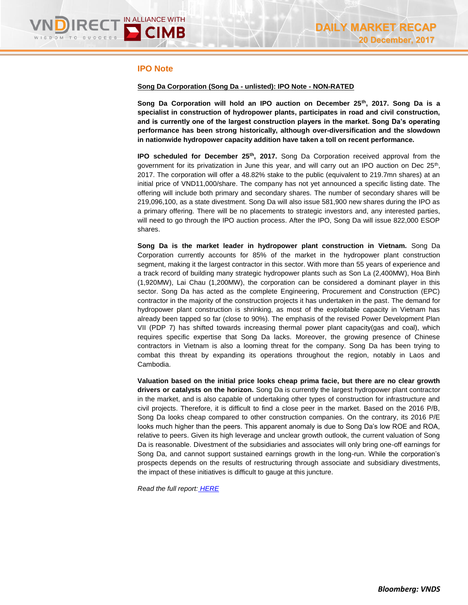# **IPO Note**

### **Song Da Corporation (Song Da - unlisted): IPO Note - NON-RATED**

**Song Da Corporation will hold an IPO auction on December 25th, 2017. Song Da is a specialist in construction of hydropower plants, participates in road and civil construction, and is currently one of the largest construction players in the market. Song Da's operating performance has been strong historically, although over-diversification and the slowdown in nationwide hydropower capacity addition have taken a toll on recent performance.** 

**IPO scheduled for December 25th, 2017.** Song Da Corporation received approval from the government for its privatization in June this year, and will carry out an IPO auction on Dec  $25<sup>th</sup>$ , 2017. The corporation will offer a 48.82% stake to the public (equivalent to 219.7mn shares) at an initial price of VND11,000/share. The company has not yet announced a specific listing date. The offering will include both primary and secondary shares. The number of secondary shares will be 219,096,100, as a state divestment. Song Da will also issue 581,900 new shares during the IPO as a primary offering. There will be no placements to strategic investors and, any interested parties, will need to go through the IPO auction process. After the IPO, Song Da will issue 822,000 ESOP shares.

**Song Da is the market leader in hydropower plant construction in Vietnam.** Song Da Corporation currently accounts for 85% of the market in the hydropower plant construction segment, making it the largest contractor in this sector. With more than 55 years of experience and a track record of building many strategic hydropower plants such as Son La (2,400MW), Hoa Binh (1,920MW), Lai Chau (1,200MW), the corporation can be considered a dominant player in this sector. Song Da has acted as the complete Engineering, Procurement and Construction (EPC) contractor in the majority of the construction projects it has undertaken in the past. The demand for hydropower plant construction is shrinking, as most of the exploitable capacity in Vietnam has already been tapped so far (close to 90%). The emphasis of the revised Power Development Plan VII (PDP 7) has shifted towards increasing thermal power plant capacity(gas and coal), which requires specific expertise that Song Da lacks. Moreover, the growing presence of Chinese contractors in Vietnam is also a looming threat for the company. Song Da has been trying to combat this threat by expanding its operations throughout the region, notably in Laos and Cambodia.

**Valuation based on the initial price looks cheap prima facie, but there are no clear growth drivers or catalysts on the horizon.** Song Da is currently the largest hydropower plant contractor in the market, and is also capable of undertaking other types of construction for infrastructure and civil projects. Therefore, it is difficult to find a close peer in the market. Based on the 2016 P/B, Song Da looks cheap compared to other construction companies. On the contrary, its 2016 P/E looks much higher than the peers. This apparent anomaly is due to Song Da's low ROE and ROA, relative to peers. Given its high leverage and unclear growth outlook, the current valuation of Song Da is reasonable. Divestment of the subsidiaries and associates will only bring one-off earnings for Song Da, and cannot support sustained earnings growth in the long-run. While the corporation's prospects depends on the results of restructuring through associate and subsidiary divestments, the impact of these initiatives is difficult to gauge at this juncture.

*Read the full report: [HERE](https://static-02.vndirect.com.vn/uploads/prod/Song-Da-Corp_IPO-Note_20171220.pdf)*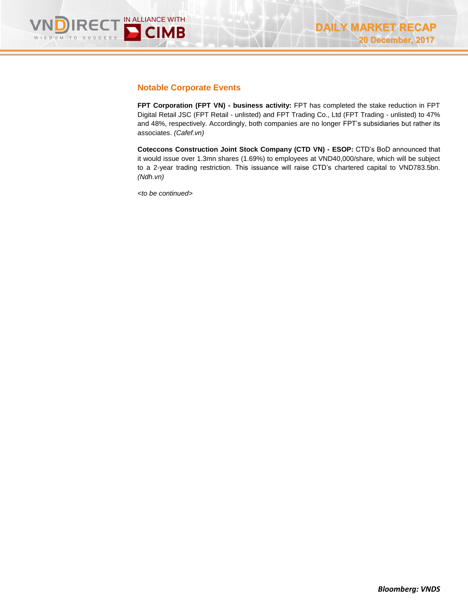

# **Notable Corporate Events**

**FPT Corporation (FPT VN) - business activity:** FPT has completed the stake reduction in FPT Digital Retail JSC (FPT Retail - unlisted) and FPT Trading Co., Ltd (FPT Trading - unlisted) to 47% and 48%, respectively. Accordingly, both companies are no longer FPT's subsidiaries but rather its associates. *(Cafef.vn)*

**Coteccons Construction Joint Stock Company (CTD VN) - ESOP:** CTD's BoD announced that it would issue over 1.3mn shares (1.69%) to employees at VND40,000/share, which will be subject to a 2-year trading restriction. This issuance will raise CTD's chartered capital to VND783.5bn. *(Ndh.vn)*

*<to be continued>*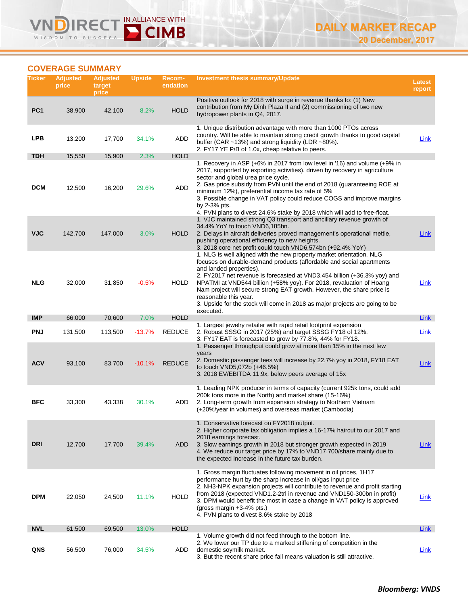# **COVERAGE SUMMARY**

WISDOM TO

IN ALLIANCE WITH

CIMB

| Ticker          | <b>Adjusted</b><br>price | <b>Adjusted</b><br>target<br>price | <b>Upside</b> | Recom-<br>endation | <b>Investment thesis summary/Update</b>                                                                                                                                                                                                                                                                                                                                                                                                                                                                                   | <b>Latest</b><br>report |
|-----------------|--------------------------|------------------------------------|---------------|--------------------|---------------------------------------------------------------------------------------------------------------------------------------------------------------------------------------------------------------------------------------------------------------------------------------------------------------------------------------------------------------------------------------------------------------------------------------------------------------------------------------------------------------------------|-------------------------|
| PC <sub>1</sub> | 38,900                   | 42,100                             | 8.2%          | <b>HOLD</b>        | Positive outlook for 2018 with surge in revenue thanks to: (1) New<br>contribution from My Dinh Plaza II and (2) commissioning of two new<br>hydropower plants in Q4, 2017.                                                                                                                                                                                                                                                                                                                                               |                         |
| <b>LPB</b>      | 13,200                   | 17,700                             | 34.1%         | <b>ADD</b>         | 1. Unique distribution advantage with more than 1000 PTOs across<br>country. Will be able to maintain strong credit growth thanks to good capital<br>buffer (CAR ~13%) and strong liquidity (LDR ~80%).<br>2. FY17 YE P/B of 1.0x, cheap relative to peers.                                                                                                                                                                                                                                                               | Link                    |
| <b>TDH</b>      | 15,550                   | 15,900                             | 2.3%          | <b>HOLD</b>        |                                                                                                                                                                                                                                                                                                                                                                                                                                                                                                                           |                         |
| <b>DCM</b>      | 12,500                   | 16,200                             | 29.6%         | ADD                | 1. Recovery in ASP (+6% in 2017 from low level in '16) and volume (+9% in<br>2017, supported by exporting activities), driven by recovery in agriculture<br>sector and global urea price cycle.<br>2. Gas price subsidy from PVN until the end of 2018 (guaranteeing ROE at<br>minimum 12%), preferential income tax rate of 5%<br>3. Possible change in VAT policy could reduce COGS and improve margins<br>by 2-3% pts.<br>4. PVN plans to divest 24.6% stake by 2018 which will add to free-float.                     |                         |
| <b>VJC</b>      | 142,700                  | 147,000                            | 3.0%          | <b>HOLD</b>        | 1. VJC maintained strong Q3 transport and ancillary revenue growth of<br>34.4% YoY to touch VND6,185bn.<br>2. Delays in aircraft deliveries proved management's operational mettle,<br>pushing operational efficiency to new heights.<br>3. 2018 core net profit could touch VND6,574bn (+92.4% YoY)                                                                                                                                                                                                                      | Link                    |
| NLG             | 32,000                   | 31,850                             | $-0.5%$       | <b>HOLD</b>        | 1. NLG is well aligned with the new property market orientation. NLG<br>focuses on durable-demand products (affordable and social apartments<br>and landed properties).<br>2. FY2017 net revenue is forecasted at VND3,454 billion (+36.3% yoy) and<br>NPATMI at VND544 billion (+58% yoy). For 2018, revaluation of Hoang<br>Nam project will secure strong EAT growth. However, the share price is<br>reasonable this year.<br>3. Upside for the stock will come in 2018 as major projects are going to be<br>executed. | Link                    |
| <b>IMP</b>      | 66,000                   | 70,600                             | 7.0%          | <b>HOLD</b>        | 1. Largest jewelry retailer with rapid retail footprint expansion                                                                                                                                                                                                                                                                                                                                                                                                                                                         | Link                    |
| <b>PNJ</b>      | 131,500                  | 113,500                            | $-13.7%$      | <b>REDUCE</b>      | 2. Robust SSSG in 2017 (25%) and target SSSG FY18 of 12%.<br>3. FY17 EAT is forecasted to grow by 77.8%, 44% for FY18.                                                                                                                                                                                                                                                                                                                                                                                                    | Link                    |
| <b>ACV</b>      | 93,100                   | 83,700                             | $-10.1%$      | <b>REDUCE</b>      | 1. Passenger throughput could grow at more than 15% in the next few<br>years<br>2. Domestic passenger fees will increase by 22.7% yoy in 2018, FY18 EAT<br>to touch VND5,072b (+46.5%)<br>3. 2018 EV/EBITDA 11.9x, below peers average of 15x                                                                                                                                                                                                                                                                             | Link                    |
| <b>BFC</b>      | 33,300                   | 43,338                             | 30.1%         | ADD                | 1. Leading NPK producer in terms of capacity (current 925k tons, could add<br>200k tons more in the North) and market share (15-16%)<br>2. Long-term growth from expansion strategy to Northern Vietnam<br>(+20%/year in volumes) and overseas market (Cambodia)                                                                                                                                                                                                                                                          |                         |
| <b>DRI</b>      | 12,700                   | 17,700                             | 39.4%         | ADD                | 1. Conservative forecast on FY2018 output.<br>2. Higher corporate tax obligation implies a 16-17% haircut to our 2017 and<br>2018 earnings forecast.<br>3. Slow earnings growth in 2018 but stronger growth expected in 2019<br>4. We reduce our target price by 17% to VND17,700/share mainly due to<br>the expected increase in the future tax burden.                                                                                                                                                                  | <b>Link</b>             |
| <b>DPM</b>      | 22,050                   | 24,500                             | 11.1%         | <b>HOLD</b>        | 1. Gross margin fluctuates following movement in oil prices, 1H17<br>performance hurt by the sharp increase in oil/gas input price<br>2. NH3-NPK expansion projects will contribute to revenue and profit starting<br>from 2018 (expected VND1.2-2trl in revenue and VND150-300bn in profit)<br>3. DPM would benefit the most in case a change in VAT policy is approved<br>(gross margin $+3-4\%$ pts.)<br>4. PVN plans to divest 8.6% stake by 2018                                                                     | <b>Link</b>             |
| <b>NVL</b>      | 61,500                   | 69,500                             | 13.0%         | <b>HOLD</b>        |                                                                                                                                                                                                                                                                                                                                                                                                                                                                                                                           | Link                    |
| QNS             | 56,500                   | 76,000                             | 34.5%         | ADD                | 1. Volume growth did not feed through to the bottom line.<br>2. We lower our TP due to a marked stiffening of competition in the<br>domestic soymilk market.<br>3. But the recent share price fall means valuation is still attractive.                                                                                                                                                                                                                                                                                   | <u>Link</u>             |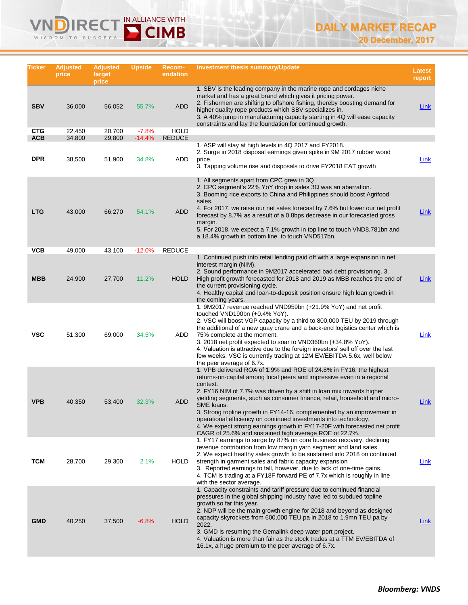#### IN ALLIANCE WITH  $R($  $W$ SDOM TO  $0.0000$

| Ticker                   | <b>Adjusted</b><br>price | <b>Adjusted</b><br>target<br>price | <b>Upside</b>     | <b>Recom-</b><br>endation   | <b>Investment thesis summary/Update</b>                                                                                                                                                                                                                                                                                                                                                                                                                                                                                                                                                                           | <b>Latest</b><br>report |
|--------------------------|--------------------------|------------------------------------|-------------------|-----------------------------|-------------------------------------------------------------------------------------------------------------------------------------------------------------------------------------------------------------------------------------------------------------------------------------------------------------------------------------------------------------------------------------------------------------------------------------------------------------------------------------------------------------------------------------------------------------------------------------------------------------------|-------------------------|
| <b>SBV</b>               | 36,000                   | 56,052                             | 55.7%             | <b>ADD</b>                  | 1. SBV is the leading company in the marine rope and cordages niche<br>market and has a great brand which gives it pricing power.<br>2. Fishermen are shifting to offshore fishing, thereby boosting demand for<br>higher quality rope products which SBV specializes in.<br>3. A 40% jump in manufacturing capacity starting in 4Q will ease capacity<br>constraints and lay the foundation for continued growth.                                                                                                                                                                                                | <b>Link</b>             |
| <b>CTG</b><br><b>ACB</b> | 22,450                   | 20,700                             | $-7.8%$           | <b>HOLD</b>                 |                                                                                                                                                                                                                                                                                                                                                                                                                                                                                                                                                                                                                   |                         |
| <b>DPR</b>               | 34,800<br>38,500         | 29,800<br>51,900                   | $-14.4%$<br>34.8% | <b>REDUCE</b><br>ADD        | 1. ASP will stay at high levels in 4Q 2017 and FY2018.<br>2. Surge in 2018 disposal earnings given spike in 9M 2017 rubber wood<br>price.<br>3. Tapping volume rise and disposals to drive FY2018 EAT growth                                                                                                                                                                                                                                                                                                                                                                                                      | Link                    |
| <b>LTG</b><br>VCB        | 43,000<br>49,000         | 66,270<br>43,100                   | 54.1%<br>$-12.0%$ | <b>ADD</b><br><b>REDUCE</b> | 1. All segments apart from CPC grew in 3Q<br>2. CPC segment's 22% YoY drop in sales 3Q was an aberration.<br>3. Booming rice exports to China and Philippines should boost Agrifood<br>sales.<br>4. For 2017, we raise our net sales forecast by 7.6% but lower our net profit<br>forecast by 8.7% as a result of a 0.8bps decrease in our forecasted gross<br>margin.<br>5. For 2018, we expect a 7.1% growth in top line to touch VND8,781bn and<br>a 18.4% growth in bottom line to touch VND517bn.                                                                                                            | Link                    |
| <b>MBB</b>               | 24,900                   | 27,700                             | 11.2%             | <b>HOLD</b>                 | 1. Continued push into retail lending paid off with a large expansion in net<br>interest margin (NIM).<br>2. Sound performance in 9M2017 accelerated bad debt provisioning. 3.<br>High profit growth forecasted for 2018 and 2019 as MBB reaches the end of<br>the current provisioning cycle.<br>4. Healthy capital and loan-to-deposit position ensure high loan growth in<br>the coming years.                                                                                                                                                                                                                 | <b>Link</b>             |
| <b>VSC</b>               | 51,300                   | 69,000                             | 34.5%             | ADD                         | 1. 9M2017 revenue reached VND959bn (+21.9% YoY) and net profit<br>touched VND190bn $(+0.4\%$ YoY).<br>2. VSC will boost VGP capacity by a third to 800,000 TEU by 2019 through<br>the additional of a new quay crane and a back-end logistics center which is<br>75% complete at the moment.<br>3. 2018 net profit expected to soar to VND360bn (+34.8% YoY).<br>4. Valuation is attractive due to the foreign investors' sell off over the last<br>few weeks. VSC is currently trading at 12M EV/EBITDA 5.6x, well below<br>the peer average of 6.7x.                                                            | Link                    |
| <b>VPB</b>               | 40,350                   | 53,400                             | 32.3%             | <b>ADD</b>                  | 1. VPB delivered ROA of 1.9% and ROE of 24.8% in FY16, the highest<br>returns-on-capital among local peers and impressive even in a regional<br>context.<br>2. FY16 NIM of 7.7% was driven by a shift in loan mix towards higher<br>yielding segments, such as consumer finance, retail, household and micro-<br>SME loans.<br>3. Strong topline growth in FY14-16, complemented by an improvement in<br>operational efficiency on continued investments into technology.<br>4. We expect strong earnings growth in FY17-20F with forecasted net profit<br>CAGR of 25.6% and sustained high average ROE of 22.7%. | Link                    |
| <b>TCM</b>               | 28,700                   | 29,300                             | 2.1%              | HOLD                        | 1. FY17 earnings to surge by 87% on core business recovery, declining<br>revenue contribution from low margin yarn segment and land sales.<br>2. We expect healthy sales growth to be sustained into 2018 on continued<br>strength in garment sales and fabric capacity expansion<br>3. Reported earnings to fall, however, due to lack of one-time gains.<br>4. TCM is trading at a FY18F forward PE of 7.7x which is roughly in line<br>with the sector average.                                                                                                                                                | Link                    |
| <b>GMD</b>               | 40,250                   | 37,500                             | $-6.8%$           | <b>HOLD</b>                 | 1. Capacity constraints and tariff pressure due to continued financial<br>pressures in the global shipping industry have led to subdued topline<br>growth so far this year.<br>2. NDP will be the main growth engine for 2018 and beyond as designed<br>capacity skyrockets from 600,000 TEU pa in 2018 to 1.9mn TEU pa by<br>2022.<br>3. GMD is resuming the Gemalink deep water port project.<br>4. Valuation is more than fair as the stock trades at a TTM EV/EBITDA of<br>16.1x, a huge premium to the peer average of 6.7x.                                                                                 | <b>Link</b>             |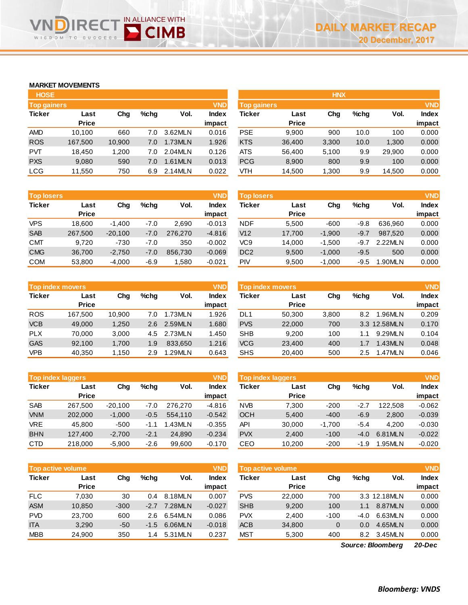### **MARKET MOVEMENTS**

SDOM TO

 $W$ 

 $R6$ Ξ( SUCCESS

| <b>HOSE</b>        |              |        |      |         |              |
|--------------------|--------------|--------|------|---------|--------------|
| <b>Top gainers</b> |              |        |      |         | <b>VND</b>   |
| <b>Ticker</b>      | Last         | Cha    | %chq | Vol.    | <b>Index</b> |
|                    | <b>Price</b> |        |      |         | impact       |
| <b>AMD</b>         | 10,100       | 660    | 7.0  | 3.62MLN | 0.016        |
| <b>ROS</b>         | 167,500      | 10,900 | 7.0  | 1.73MLN | 1.926        |
| <b>PVT</b>         | 18,450       | 1,200  | 7.0  | 2.04MLN | 0.126        |
| <b>PXS</b>         | 9,080        | 590    | 7.0  | 1.61MLN | 0.013        |
| LCG                | 11,550       | 750    | 6.9  | 2.14MLN | 0.022        |

IN ALLIANCE WITH

| <b>HOSE</b>        |              |        |      |         |              |            | <b>HNX</b>                       |       |      |        |              |  |
|--------------------|--------------|--------|------|---------|--------------|------------|----------------------------------|-------|------|--------|--------------|--|
| <b>Top gainers</b> |              |        |      |         | <b>VND</b>   |            | <b>VND</b><br><b>Top gainers</b> |       |      |        |              |  |
| Ticker             | Last         | Chg    | %chq | Vol.    | <b>Index</b> | Ticker     | Last                             | Chg   | %chq | Vol.   | <b>Index</b> |  |
|                    | <b>Price</b> |        |      |         | impact       |            | <b>Price</b>                     |       |      |        | impact       |  |
| AMD                | 10.100       | 660    | 7.0  | 3.62MLN | 0.016        | <b>PSE</b> | 9.900                            | 900   | 10.0 | 100    | 0.000        |  |
| <b>ROS</b>         | 167,500      | 10,900 | 7.0  | 1.73MLN | 1.926        | <b>KTS</b> | 36,400                           | 3,300 | 10.0 | 1,300  | 0.000        |  |
| <b>PVT</b>         | 18,450       | 1,200  | 7.0  | 2.04MLN | 0.126        | <b>ATS</b> | 56,400                           | 5,100 | 9.9  | 29,900 | 0.000        |  |
| <b>PXS</b>         | 9,080        | 590    | 7.0  | 1.61MLN | 0.013        | <b>PCG</b> | 8,900                            | 800   | 9.9  | 100    | 0.000        |  |
| LCG                | 11,550       | 750    | 6.9  | 2.14MLN | 0.022        | VTH        | 14,500                           | 1,300 | 9.9  | 14,500 | 0.000        |  |
|                    |              |        |      |         |              |            |                                  |       |      |        |              |  |

| <b>Top losers</b> |                      |           |        |         | <b>VND</b>             |
|-------------------|----------------------|-----------|--------|---------|------------------------|
| <b>Ticker</b>     | Last<br><b>Price</b> | Cha       | %chq   | Vol.    | <b>Index</b><br>impact |
| <b>VPS</b>        | 18,600               |           | $-7.0$ | 2.690   | $-0.013$               |
|                   |                      | $-1,400$  |        |         |                        |
| <b>SAB</b>        | 267,500              | $-20,100$ | $-7.0$ | 276.270 | $-4.816$               |
| <b>CMT</b>        | 9.720                | $-730$    | $-7.0$ | 350     | $-0.002$               |
| <b>CMG</b>        | 36,700               | $-2,750$  | $-7.0$ | 856,730 | $-0.069$               |
| <b>COM</b>        | 53,800               | $-4,000$  | $-6.9$ | 1,580   | $-0.021$               |

| <b>Top index movers</b> |              |        |      |         | <b>VND</b>   |
|-------------------------|--------------|--------|------|---------|--------------|
| <b>Ticker</b>           | Last         | Cha    | %cha | Vol.    | <b>Index</b> |
|                         | <b>Price</b> |        |      |         | impact       |
| <b>ROS</b>              | 167,500      | 10,900 | 7.0  | 1.73MLN | 1.926        |
| <b>VCB</b>              | 49.000       | 1,250  | 2.6  | 2.59MLN | 1.680        |
| <b>PLX</b>              | 70,000       | 3,000  | 4.5  | 2.73MLN | 1.450        |
| <b>GAS</b>              | 92,100       | 1,700  | 1.9  | 833.650 | 1.216        |
| <b>VPB</b>              | 40,350       | 1,150  | 2.9  | 1.29MLN | 0.643        |

| <b>Top index laggers</b> |              |           |        |         | <b>VND</b>   |
|--------------------------|--------------|-----------|--------|---------|--------------|
| <b>Ticker</b>            | Last         | Cha       | %cha   | Vol.    | <b>Index</b> |
|                          | <b>Price</b> |           |        |         | impact       |
| <b>SAB</b>               | 267,500      | $-20,100$ | $-7.0$ | 276.270 | $-4.816$     |
| <b>VNM</b>               | 202,000      | $-1,000$  | $-0.5$ | 554,110 | $-0.542$     |
| <b>VRE</b>               | 45.800       | $-500$    | $-1.1$ | 1.43MLN | $-0.355$     |
| <b>BHN</b>               | 127,400      | $-2,700$  | $-2.1$ | 24,890  | $-0.234$     |
| <b>CTD</b>               | 218,000      | $-5,900$  | $-2.6$ | 99,600  | $-0.170$     |

|               | <b>VND</b><br><b>Top active volume</b> |        |         |          |          |               | Top active volume |        |         |              |              |
|---------------|----------------------------------------|--------|---------|----------|----------|---------------|-------------------|--------|---------|--------------|--------------|
| <b>Ticker</b> | Last                                   | Chg    | $%$ chq | Vol.     | Index    | <b>Ticker</b> | Last              | Chg    | $%$ chq | Vol.         | <b>Index</b> |
|               | <b>Price</b>                           |        |         |          | impact   |               | <b>Price</b>      |        |         |              | impact       |
| <b>FLC</b>    | 7.030                                  | 30     | 0.4     | 8.18MLN  | 0.007    | <b>PVS</b>    | 22,000            | 700    |         | 3.3 12.18MLN | 0.000        |
| <b>ASM</b>    | 10,850                                 | $-300$ | $-2.7$  | 7.28MLN  | $-0.027$ | <b>SHB</b>    | 9,200             | 100    | 1.1     | 8.87MLN      | 0.000        |
| <b>PVD</b>    | 23.700                                 | 600    | 2.6     | 6.54MLN  | 0.086    | <b>PVX</b>    | 2.400             | $-100$ | $-4.0$  | 6.63MLN      | 0.000        |
| <b>ITA</b>    | 3,290                                  | $-50$  | $-1.5$  | 6.06MLN  | $-0.018$ | <b>ACB</b>    | 34,800            | 0      | 0.0     | 4.65MLN      | 0.000        |
| <b>MBB</b>    | 24,900                                 | 350    | 1.4     | 5.31 MLN | 0.237    | <b>MST</b>    | 5.300             | 400    | 8.2     | 3.45MLN      | 0.000        |

| <b>Top losers</b> |              |           |         |         | <b>VND</b> | <b>Top losers</b> |              |          |         |         | <b>VND</b>   |
|-------------------|--------------|-----------|---------|---------|------------|-------------------|--------------|----------|---------|---------|--------------|
| Ticker            | Last         | Chg       | $%$ chq | Vol.    | Index      | Ticker            | Last         | Chg      | $%$ chq | Vol.    | <b>Index</b> |
|                   | <b>Price</b> |           |         |         | impact     |                   | <b>Price</b> |          |         |         | impact       |
| VPS               | 18.600       | $-1.400$  | $-7.0$  | 2.690   | $-0.013$   | <b>NDF</b>        | 5.500        | $-600$   | $-9.8$  | 636.960 | 0.000        |
| <b>SAB</b>        | 267.500      | $-20.100$ | $-7.0$  | 276,270 | $-4.816$   | V12               | 17,700       | $-1.900$ | $-9.7$  | 987.520 | 0.000        |
| CMT               | 9,720        | $-730$    | $-7.0$  | 350     | $-0.002$   | VC9               | 14.000       | $-1.500$ | $-9.7$  | 2.22MLN | 0.000        |
| <b>CMG</b>        | 36.700       | $-2.750$  | $-7.0$  | 856,730 | $-0.069$   | DC <sub>2</sub>   | 9,500        | $-1,000$ | $-9.5$  | 500     | 0.000        |
| COM               | 53,800       | $-4,000$  | $-6.9$  | .580    | $-0.021$   | PIV               | 9,500        | $-1,000$ | -9.5    | .90MLN  | 0.000        |
|                   |              |           |         |         |            |                   |              |          |         |         |              |

| Top index movers |                      |        |         |         | <b>VND</b>      | Top index movers |                      |       |         |              |                        |
|------------------|----------------------|--------|---------|---------|-----------------|------------------|----------------------|-------|---------|--------------|------------------------|
| Ticker           | Last<br><b>Price</b> | Chg    | $%$ chq | Vol.    | Index<br>impact | Ticker           | Last<br><b>Price</b> | Chg   | $%$ chq | Vol.         | <b>Index</b><br>impact |
| <b>ROS</b>       | 167.500              | 10.900 | 7.0     | 1.73MLN | 1.926           | DL1              | 50.300               | 3,800 | 8.2     | 1.96MLN      | 0.209                  |
| <b>VCB</b>       | 49,000               | 1.250  | 2.6     | 2.59MLN | 1.680           | <b>PVS</b>       | 22,000               | 700   |         | 3.3 12.58MLN | 0.170                  |
| <b>PLX</b>       | 70.000               | 3.000  | 4.5     | 2.73MLN | 1.450           | <b>SHB</b>       | 9.200                | 100   | 1.1     | 9.29MLN      | 0.104                  |
| <b>GAS</b>       | 92.100               | 1.700  | 1.9     | 833.650 | 1.216           | <b>VCG</b>       | 23,400               | 400   | 1.7     | 1.43MLN      | 0.048                  |
| VPB              | 40,350               | 1,150  | 2.9     | .29MLN  | 0.643           | <b>SHS</b>       | 20,400               | 500   | 2.5     | 1.47MLN      | 0.046                  |

|            | <b>Top index laggers</b> |           |        |         | <b>VND</b> | Top index laggers |              |          |         |         | <b>VND</b>   |  |  |
|------------|--------------------------|-----------|--------|---------|------------|-------------------|--------------|----------|---------|---------|--------------|--|--|
| Ticker     | Last                     | Chg       | %chq   | Vol.    | Index      | Ticker            | Last         | Chg      | $%$ chq | Vol.    | <b>Index</b> |  |  |
|            | <b>Price</b>             |           |        |         | impact     |                   | <b>Price</b> |          |         |         | impact       |  |  |
| <b>SAB</b> | 267.500                  | $-20.100$ | $-7.0$ | 276,270 | $-4.816$   | <b>NVB</b>        | 7.300        | $-200$   | $-2.7$  | 122,508 | $-0.062$     |  |  |
| <b>VNM</b> | 202,000                  | $-1,000$  | $-0.5$ | 554.110 | $-0.542$   | <b>OCH</b>        | 5,400        | $-400$   | $-6.9$  | 2,800   | $-0.039$     |  |  |
| VRE        | 45.800                   | $-500$    | $-1.1$ | .43MLN  | $-0.355$   | API               | 30,000       | $-1.700$ | $-5.4$  | 4.200   | $-0.030$     |  |  |
| <b>BHN</b> | 127,400                  | $-2,700$  | $-2.1$ | 24.890  | $-0.234$   | <b>PVX</b>        | 2,400        | $-100$   | -4.0    | 6.81MLN | $-0.022$     |  |  |
| CTD        | 218,000                  | $-5,900$  | $-2.6$ | 99.600  | $-0.170$   | CEO               | 10.200       | $-200$   | -1.9    | .95MLN  | $-0.020$     |  |  |

| <b>Top active volume</b> |              |          |        |              | <b>VND</b>   |
|--------------------------|--------------|----------|--------|--------------|--------------|
| <b>Ticker</b>            | Last         | Cha      | %chq   | Vol.         | <b>Index</b> |
|                          | <b>Price</b> |          |        |              | impact       |
| <b>PVS</b>               | 22,000       | 700      |        | 3.3 12.18MLN | 0.000        |
| <b>SHB</b>               | 9.200        | 100      | 1.1    | 8.87MLN      | 0.000        |
| <b>PVX</b>               | 2.400        | $-100$   | $-4.0$ | 6.63MLN      | 0.000        |
| <b>ACB</b>               | 34,800       | $\Omega$ | 0.0    | 4.65MLN      | 0.000        |
| <b>MST</b>               | 5,300        | 400      | 8.2    | 3.45MLN      | 0.000        |
|                          |              |          |        |              |              |

*20-Dec Source: Bloomberg*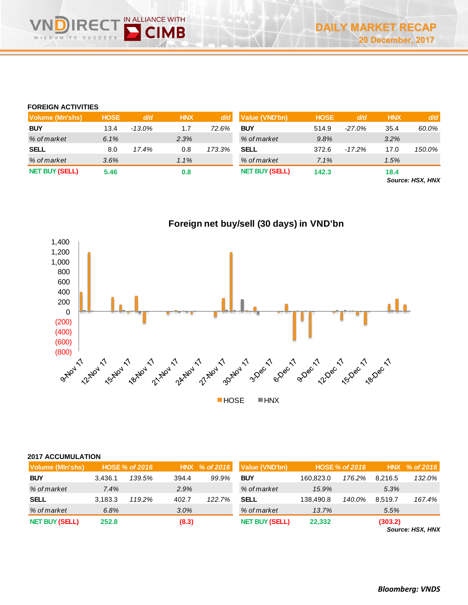### **FOREIGN ACTIVITIES**

| Volume (Mn'shs)       | <b>HOSE</b> | d/d       | <b>HNX</b> | d/d    | Value (VND'bn)        | <b>HOSE</b> | d/d      | <b>HNX</b> | d/d    |
|-----------------------|-------------|-----------|------------|--------|-----------------------|-------------|----------|------------|--------|
| <b>BUY</b>            | 13.4        | $-13.0\%$ | 1.7        | 72.6%  | <b>BUY</b>            | 514.9       | $-27.0%$ | 35.4       | 60.0%  |
| % of market           | 6.1%        |           | 2.3%       |        | % of market           | 9.8%        |          | 3.2%       |        |
| <b>SELL</b>           | 8.0         | 17.4%     | 0.8        | 173.3% | <b>SELL</b>           | 372.6       | $-17.2%$ | 17.0       | 150.0% |
| % of market           | 3.6%        |           | 1.1%       |        | % of market           | 7.1%        |          | 1.5%       |        |
| <b>NET BUY (SELL)</b> | 5.46        |           | 0.8        |        | <b>NET BUY (SELL)</b> | 142.3       |          | 18.4       |        |

*Source: HSX, HNX*



| <b>2017 ACCUMULATION</b> |         |                       |       |               |                       |           |                       |         |                  |
|--------------------------|---------|-----------------------|-------|---------------|-----------------------|-----------|-----------------------|---------|------------------|
| Volume (MIn'shs)         |         | <b>HOSE % of 2016</b> |       | HNX % of 2016 | Value (VND'bn)        |           | <b>HOSE % of 2016</b> |         | HNX % of 2016    |
| <b>BUY</b>               | 3.436.1 | 139.5%                | 394.4 | 99.9%         | <b>BUY</b>            | 160.823.0 | 176.2%                | 8.216.5 | 132.0%           |
| % of market              | 7.4%    |                       | 2.9%  |               | % of market           | 15.9%     |                       | 5.3%    |                  |
| <b>SELL</b>              | 3.183.3 | 119.2%                | 402.7 | 122.7%        | <b>SELL</b>           | 138.490.8 | 140.0%                | 8.519.7 | 167.4%           |
| % of market              | 6.8%    |                       | 3.0%  |               | % of market           | 13.7%     |                       | 5.5%    |                  |
| <b>NET BUY (SELL)</b>    | 252.8   |                       | (8.3) |               | <b>NET BUY (SELL)</b> | 22,332    |                       | (303.2) | Source: HSX, HNX |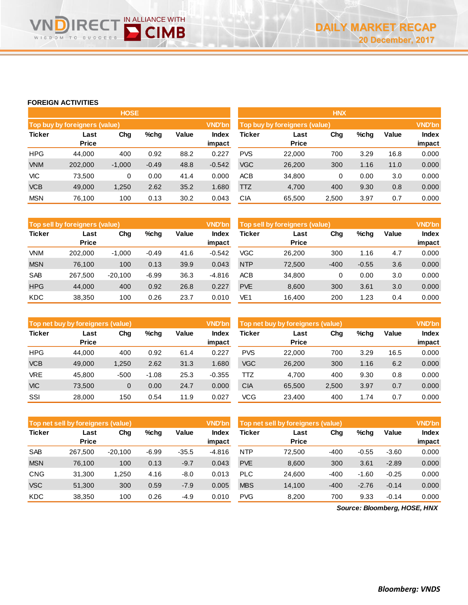# **FOREIGN ACTIVITIES**

SDOM TO

 $W$ 

IN ALLIANCE WITH

|               |                               | <b>HOSE</b> |         |       |               | <b>HNX</b>                                     |              |       |      |       |        |
|---------------|-------------------------------|-------------|---------|-------|---------------|------------------------------------------------|--------------|-------|------|-------|--------|
|               | Top buy by foreigners (value) |             |         |       | <b>VND'bn</b> | <b>VND'bn</b><br>Top buy by foreigners (value) |              |       |      |       |        |
| <b>Ticker</b> | $%$ chg<br>Chg<br>Last        |             |         | Value | Index         | <b>Ticker</b><br>%chg<br>Chg<br>Last           |              |       |      | Value | Index  |
|               | <b>Price</b>                  |             |         |       | impact        |                                                | <b>Price</b> |       |      |       | impact |
| <b>HPG</b>    | 44.000                        | 400         | 0.92    | 88.2  | 0.227         | <b>PVS</b>                                     | 22,000       | 700   | 3.29 | 16.8  | 0.000  |
| <b>VNM</b>    | 202,000                       | $-1.000$    | $-0.49$ | 48.8  | $-0.542$      | <b>VGC</b>                                     | 26,200       | 300   | 1.16 | 11.0  | 0.000  |
| VIC           | 73.500                        | 0           | 0.00    | 41.4  | 0.000         | <b>ACB</b>                                     | 34,800       | 0     | 0.00 | 3.0   | 0.000  |
| <b>VCB</b>    | 49,000                        | 1,250       | 2.62    | 35.2  | 1.680         | <b>TTZ</b>                                     | 4,700        | 400   | 9.30 | 0.8   | 0.000  |
| <b>MSN</b>    | 76.100                        | 100         | 0.13    | 30.2  | 0.043         | CIA                                            | 65,500       | 2,500 | 3.97 | 0.7   | 0.000  |
|               |                               |             |         |       |               |                                                |              |       |      |       |        |

|               | <b>VND'bn</b><br>Top sell by foreigners (value) |           |         |       |                 |            | Top sell by foreigners (value) |        |         |       |                        |  |
|---------------|-------------------------------------------------|-----------|---------|-------|-----------------|------------|--------------------------------|--------|---------|-------|------------------------|--|
| <b>Ticker</b> | Last<br><b>Price</b>                            | Chg       | %chg    | Value | Index<br>impact | Ticker     | Last<br><b>Price</b>           | Chg    | %chg    | Value | <b>Index</b><br>impact |  |
| <b>VNM</b>    | 202,000                                         | $-1,000$  | $-0.49$ | 41.6  | $-0.542$        | <b>VGC</b> | 26,200                         | 300    | 1.16    | 4.7   | 0.000                  |  |
| <b>MSN</b>    | 76,100                                          | 100       | 0.13    | 39.9  | 0.043           | <b>NTP</b> | 72,500                         | $-400$ | $-0.55$ | 3.6   | 0.000                  |  |
| <b>SAB</b>    | 267,500                                         | $-20,100$ | $-6.99$ | 36.3  | $-4.816$        | <b>ACB</b> | 34,800                         | 0      | 0.00    | 3.0   | 0.000                  |  |
| <b>HPG</b>    | 44,000                                          | 400       | 0.92    | 26.8  | 0.227           | <b>PVE</b> | 8,600                          | 300    | 3.61    | 3.0   | 0.000                  |  |
| <b>KDC</b>    | 38,350                                          | 100       | 0.26    | 23.7  | 0.010           | VE1        | 16.400                         | 200    | 1.23    | 0.4   | 0.000                  |  |

|               | Top net buy by foreigners (value) |        |         |       | <b>VND'bn</b>   | Top net buy by foreigners (value) |                      |       |      |       |                 |
|---------------|-----------------------------------|--------|---------|-------|-----------------|-----------------------------------|----------------------|-------|------|-------|-----------------|
| <b>Ticker</b> | Last<br><b>Price</b>              | Chg    | $%$ chg | Value | Index<br>impact | <b>Ticker</b>                     | Last<br><b>Price</b> | Chg   | %chg | Value | Index<br>impact |
| <b>HPG</b>    | 44.000                            | 400    | 0.92    | 61.4  | 0.227           | <b>PVS</b>                        | 22,000               | 700   | 3.29 | 16.5  | 0.000           |
| <b>VCB</b>    | 49,000                            | 1,250  | 2.62    | 31.3  | 0.680           | <b>VGC</b>                        | 26,200               | 300   | 1.16 | 6.2   | 0.000           |
| VRE           | 45.800                            | $-500$ | $-1.08$ | 25.3  | $-0.355$        | πz                                | 4.700                | 400   | 9.30 | 0.8   | 0.000           |
| <b>VIC</b>    | 73,500                            | 0      | 0.00    | 24.7  | 0.000           | <b>CIA</b>                        | 65,500               | 2,500 | 3.97 | 0.7   | 0.000           |
| SSI           | 28,000                            | 150    | 0.54    | 11.9  | 0.027           | <b>VCG</b>                        | 23,400               | 400   | 1.74 | 0.7   | 0.000           |

|               | <b>VND'bn</b><br>Top net sell by foreigners (value) |           |         |         |                 |            | Top net sell by foreigners (value), |        |         |         |                 |
|---------------|-----------------------------------------------------|-----------|---------|---------|-----------------|------------|-------------------------------------|--------|---------|---------|-----------------|
| <b>Ticker</b> | Last<br><b>Price</b>                                | Chg       | $%$ chg | Value   | Index<br>impact | Ticker     | Last<br><b>Price</b>                | Chg    | $%$ chg | Value   | Index<br>impact |
| <b>SAB</b>    | 267.500                                             | $-20.100$ | $-6.99$ | $-35.5$ | $-4.816$        | <b>NTP</b> | 72.500                              | $-400$ | $-0.55$ | $-3.60$ | 0.000           |
| <b>MSN</b>    | 76.100                                              | 100       | 0.13    | $-9.7$  | 0.043           | <b>PVE</b> | 8.600                               | 300    | 3.61    | $-2.89$ | 0.000           |
| <b>CNG</b>    | 31.300                                              | 1.250     | 4.16    | -8.0    | 0.013           | <b>PLC</b> | 24.600                              | $-400$ | $-1.60$ | $-0.25$ | 0.000           |
| <b>VSC</b>    | 51,300                                              | 300       | 0.59    | $-7.9$  | 0.005           | <b>MBS</b> | 14.100                              | $-400$ | $-2.76$ | $-0.14$ | 0.000           |
| <b>KDC</b>    | 38,350                                              | 100       | 0.26    | -4.9    | 0.010           | <b>PVG</b> | 8.200                               | 700    | 9.33    | $-0.14$ | 0.000           |
|               |                                                     |           |         |         |                 |            |                                     |        |         |         |                 |

*Source: Bloomberg, HOSE, HNX*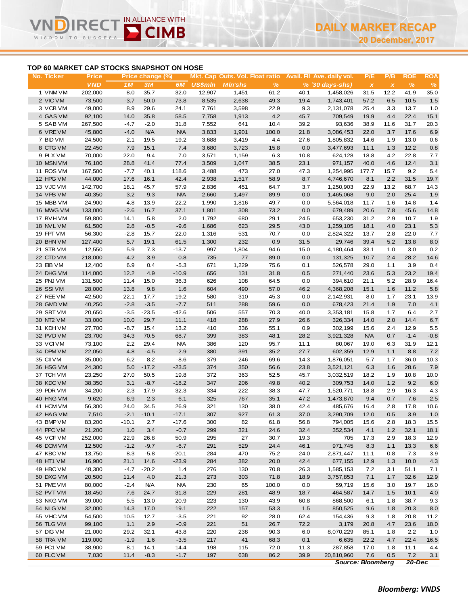# **TOP 60 MARKET CAP STOCKS SNAPSHOT ON HOSE**

WISDOM TO

IN ALLIANCE WITH

**CIMB** 

| No. Ticker             | <b>Price</b>      |                | Price change (%) |                |                |                |              |             | Mkt. Cap Outs. Vol. Float ratio Avail. Fil Ave. daily vol. | P/E                       | P/B          | <b>ROE</b>    | <b>ROA</b>  |
|------------------------|-------------------|----------------|------------------|----------------|----------------|----------------|--------------|-------------|------------------------------------------------------------|---------------------------|--------------|---------------|-------------|
|                        | <b>VND</b>        | 1 <sub>M</sub> | 3M               | 6M             | <b>US\$mln</b> | <b>MIn'shs</b> | $\%$         |             | $% (30 \, \text{days-shs})$                                | $\boldsymbol{\mathsf{X}}$ | $\pmb{\chi}$ | $\frac{9}{6}$ | $\%$        |
| 1 VNM VM               | 202,000           | 8.0            | 35.7             | 32.0           | 12,907         | 1,451          | 61.2         | 40.1        | 1,458,026                                                  | 31.5                      | 12.2         | 41.9          | 35.0        |
| 2 VIC VM               | 73,500            | $-3.7$         | 50.0             | 73.8           | 8,535          | 2,638          | 49.3         | 19.4        | 1,743,401                                                  | 57.2                      | 6.5          | 10.5          | 1.5         |
| 3 VCB VM               | 49,000            | 8.9            | 29.6             | 24.1           | 7,761          | 3,598          | 22.9         | 9.3         | 2,131,078                                                  | 25.4                      | 3.3          | 13.7          | 1.0         |
| 4 GAS VM               | 92,100            | 14.0           | 35.8             | 58.5           | 7,758          | 1,913          | 4.2          | 45.7        | 709,549                                                    | 19.9                      | 4.4          | 22.4          | 15.1        |
| 5 SAB VM               | 267,500           | $-4.7$         | $-2.0$           | 31.8           | 7,552          | 641            | 10.4         | 39.2        | 93,636                                                     | 38.9                      | 11.6         | 31.7          | 20.3        |
| 6 VREVM                | 45,800            | $-4.0$         | <b>N/A</b>       | <b>N/A</b>     | 3,833          | 1,901          | 100.0        | 21.8        | 3,086,453                                                  | 22.0                      | 3.7          | 17.6          | 6.9         |
| 7 BID VM               | 24,500            | 2.1            | 19.5             | 19.2           | 3,688          | 3,419          | 4.4          | 27.6        | 1,805,832                                                  | 14.6                      | 1.9          | 13.0          | 0.6         |
| 8 CTG VM               | 22,450            | 7.9            | 15.1             | 7.4            | 3,680          | 3,723          | 15.8         | 0.0         | 3,477,693                                                  | 11.1                      | 1.3          | 12.2          | 0.8         |
| 9 PLX VM               | 70,000            | 22.0           | 9.4              | 7.0            | 3,571          | 1,159          | 6.3          | 10.8        | 624,128                                                    | 18.8                      | 4.2          | 22.8          | 7.7         |
| 10 MSN VM              | 76,100            | 28.8           | 41.4             | 77.4           | 3,509          | 1,047          | 38.5         | 23.1        | 971,157                                                    | 40.0                      | 4.6          | 12.4          | 3.1         |
| 11 ROS VM              | 167,500           | $-7.7$         | 40.1             | 118.6          | 3,488          | 473            | 27.0         | 47.3        | 1,254,995                                                  | 177.7                     | 15.7         | 9.2           | 5.4         |
| 12 HPG VM              | 44,000            | 17.6           | 16.1             | 42.4           | 2,938          | 1,517          | 58.9         | 8.7         | 4,746,670                                                  | 8.1                       | 2.2          | 31.5          | 19.7        |
| 13 VJC VM              | 142,700           | 18.1           | 45.7             | 57.9           | 2,836          | 451            | 64.7         | 3.7         | 1,250,903                                                  | 22.9                      | 13.2         | 68.7          | 14.3        |
| 14 VPB VM              | 40,350            | 3.2            | 9.3              | <b>N/A</b>     | 2,660          | 1,497          | 89.9         | 0.0         | 1,465,068                                                  | 9.0                       | 2.0          | 25.4          | 1.9         |
| 15 MBB VM              | 24,900            | 4.8            | 13.9             | 22.2           | 1,990          | 1,816          | 49.7         | 0.0         | 5,564,018                                                  | 11.7                      | 1.6          | 14.8          | 1.4         |
| 16 MWG VM              | 133,000           | $-2.6$         | 16.7             | 37.1           | 1,801          | 308            | 73.2         | 0.0         | 679,489                                                    | 20.6                      | 7.8          | 45.6          | 14.8        |
| 17 BVHVM               | 59,800            | 14.1           | 5.8              | 2.0            | 1,792          | 680            | 29.1         | 24.5        | 653,230                                                    | 31.2                      | 2.9          | 10.7          | 1.9         |
| 18 NVL VM              | 61,500            | 2.8            | $-0.5$           | $-9.6$         | 1,686          | 623            | 29.5         | 43.0        | 1,259,105                                                  | 18.1                      | 4.0          | 23.1          | 5.3         |
| 19 FPT VM              | 56,300            | $-2.8$         | 15.7             | 22.0           | 1,316          | 531            | 70.7         | 0.0         | 2,824,322                                                  | 13.7                      | 2.8          | 22.0          | 7.7         |
| 20 BHN VM              | 127,400           | 5.7<br>5.9     | 19.1             | 61.5           | 1,300<br>997   | 232            | 0.9          | 31.5        | 29,746                                                     | 39.4                      | 5.2          | 13.8          | 8.0         |
| 21 STB VM              | 12,550            |                | 7.3              | $-13.7$        | 735            | 1,804          | 94.6         | 15.0        | 4,180,464                                                  | 33.1                      | 1.0          | 3.0           | 0.2         |
| 22 CTD VM<br>23 EIB VM | 218,000<br>12,400 | $-4.2$<br>6.9  | 3.9<br>0.4       | 0.8<br>$-5.3$  | 671            | 77<br>1,229    | 89.0<br>75.6 | 0.0<br>0.1  | 131,325<br>526,578                                         | 10.7<br>29.0              | 2.4<br>1.1   | 28.2<br>3.9   | 14.6<br>0.4 |
| 24 DHG VM              | 114,000           | 12.2           | 4.9              | $-10.9$        | 656            | 131            | 31.8         | 0.5         | 271,440                                                    | 23.6                      | 5.3          | 23.2          | 19.4        |
| 25 PNJ VM              | 131,500           | 11.4           | 15.0             | 36.3           | 626            | 108            | 64.5         | 0.0         | 394,610                                                    | 21.1                      | 5.2          | 28.9          | 16.4        |
| 26 SSIVM               | 28,000            | 13.8           | 9.8              | 1.6            | 604            | 490            | 57.0         | 46.2        | 4,368,208                                                  | 15.1                      | 1.6          | 11.2          | 5.8         |
| 27 REE VM              | 42,500            | 22.1           | 17.7             | 19.2           | 580            | 310            | 45.3         | 0.0         | 2,142,931                                                  | 8.0                       | 1.7          | 23.1          | 13.9        |
| 28 GMD VM              | 40,250            | $-2.8$         | $-3.5$           | $-7.7$         | 511            | 288            | 59.6         | 0.0         | 678,423                                                    | 21.4                      | 1.9          | 7.0           | 4.1         |
| 29 SBT VM              | 20,650            | $-3.5$         | $-23.5$          | $-42.6$        | 506            | 557            | 70.3         | 40.0        | 3,353,181                                                  | 15.8                      | 1.7          | 6.4           | 2.7         |
| 30 NT2 VM              | 33,000            | 10.0           | 29.7             | 11.1           | 418            | 288            | 27.9         | 26.6        | 326,334                                                    | 14.0                      | 2.0          | 14.4          | $6.7\,$     |
| 31 KDH VM              | 27,700            | $-8.7$         | 15.4             | 13.2           | 410            | 336            | 55.1         | 0.9         | 302,199                                                    | 15.6                      | 2.4          | 12.9          | 5.5         |
| 32 PVD VM              | 23,700            | 34.3           | 70.5             | 68.7           | 399            | 383            | 48.1         | 28.2        | 3,921,328                                                  | <b>N/A</b>                | 0.7          | $-1.4$        | $-0.8$      |
| 33 VCIVM               | 73,100            | 2.2            | 29.4             | <b>N/A</b>     | 386            | 120            | 95.7         | 11.1        | 80,067                                                     | 19.0                      | 6.3          | 31.9          | 12.1        |
| 34 DPM VM              | 22,050            | 4.8            | $-4.5$           | $-2.9$         | 380            | 391            | 35.2         | 27.7        | 602,359                                                    | 12.9                      | 1.1          | 8.8           | $7.2$       |
| 35 CII VM              | 35,000            | 6.2            | 8.2              | $-8.6$         | 379            | 246            | 69.6         | 14.3        | 1,876,051                                                  | 5.7                       | 1.7          | 36.0          | 10.3        |
| 36 HSG VM              | 24,300            | 5.0            | $-17.2$          | $-23.5$        | 374            | 350            | 56.6         | 23.8        | 3,521,121                                                  | 6.3                       | 1.6          | 28.6          | 7.9         |
| 37 TCH VM              | 23,250            | 27.0           | 50.5             | 19.8           | 372            | 363            | 52.5         | 45.7        | 3,032,519                                                  | 18.2                      | 1.9          | 10.8          | 10.0        |
| 38 KDC VM              | 38,350            | 3.1            | $-8.7$           | $-18.2$        | 347            | 206            | 49.8         | 40.2        | 309,753                                                    | 14.0                      | $1.2$        | 9.2           | 6.0         |
| 39 PDR VM              | 34,200            | $-2.3$         | 17.9             | 32.3           | 334            | 222            | 38.3         | 47.7        | 1,520,771                                                  | 18.8                      | 2.9          | 16.3          | 4.3         |
| 40 HNG VM              | 9,620             | 6.9            | 2.3              | $-6.1$         | 325            | 767            | 35.1         | 47.2        | 1,473,870                                                  | 9.4                       | 0.7          | 7.6           | $2.5\,$     |
| 41 HCM VM              | 56,300            | 24.0           | 34.5             | 26.9           | 321            | 130            | 38.0         | 42.4        | 485,676                                                    | 16.4                      | 2.8          | 17.8          | 10.6        |
| 42 HAG VM              | 7,510             |                | $-2.1 - 10.1$    | $-17.1$        | 307            | 927            | 61.3         | 37.0        | 3,290,709                                                  | 12.0                      | 0.5          | 3.9           | 1.0         |
| 43 BMP VM              | 83,200            | $-10.1$        | 2.7              | $-17.6$        | 300            | 82             | 61.8         | 56.8        | 794,005                                                    | 15.6                      | 2.8          | 18.3          | 15.5        |
| 44 PPC VM              | 21,200            | 1.0            | 3.4              | $-0.7$         | 299            | 321            | 24.6         | 32.4        | 352,534                                                    | 4.1                       | $1.2$        | 32.1          | 18.1        |
| 45 VCF VM              | 252,000           | 22.9           | 26.8             | 50.9           | 295            | 27             | 30.7         | 19.3        | 705                                                        | 17.3                      | 2.9          | 18.3          | 12.9        |
| 46 DCM VM              | 12,500            | $-1.2$         | $-9.7$           | $-6.7$         | 291            | 529            | 24.4         | 46.1        | 971,745                                                    | 8.3                       | 1.1          | 13.3          | 6.6         |
| 47 KBC VM              | 13,750            | 8.3            | $-5.8$           | $-20.1$        | 284            | 470            | 75.2         | 24.0        | 2,871,447                                                  | 11.1                      | 0.8          | 7.3           | 3.9         |
| 48 HT1 VM              | 16,900            | 21.1           | 14.6             | $-23.9$        | 284            | 382            | 20.0         | 42.4        | 677,155                                                    | 12.9                      | 1.3          | 10.0          | 4.3         |
| 49 HBC VM              | 48,300            | $-4.7$         | $-20.2$          | 1.4            | 276            | 130            | 70.8         | 26.3        | 1,585,153                                                  | 7.2                       | 3.1          | 51.1          | 7.1         |
| 50 DXG VM              | 20,500            | 11.4           | 4.0              | 21.3           | 273            | 303            | 71.8         | 18.9        | 3,757,853                                                  | 7.1                       | 1.7          | 32.6          | 12.9        |
| 51 PME VM              | 80,000            | $-2.4$         | N/A              | <b>N/A</b>     | 230            | 65             | 100.0        | 0.0         | 59,719                                                     | 15.6                      | 3.0          | 19.7          | 16.0        |
| 52 PVT VM              | 18,450            | 7.6            | 24.7             | 31.8           | 229            | 281            | 48.9         | 18.7        | 464,587                                                    | 14.7                      | 1.5          | 10.1          | 4.0         |
| 53 NKG VM              | 39,000            | 5.5            | 13.0             | 20.9           | 223            | 130            | 43.9         | 60.8        | 868,500                                                    | 6.1                       | 1.8          | 38.7          | 9.3         |
| 54 NLG VM              | 32,000            | 14.3           | 17.0             | 19.1           | 222            | 157            | 53.3         | 1.5         | 850,525                                                    | 9.6                       | 1.8          | 20.3          | 8.0         |
| 55 VHC VM              | 54,500            | 10.5           | 12.7             | $-3.5$         | 221            | 92             | 28.0         | 62.4        | 154,436                                                    | 9.3                       | 1.8          | 20.8          | 11.2        |
| 56 TLG VM<br>57 DIG VM | 99,100            | 1.1<br>29.2    | 2.9              | $-0.9$<br>43.8 | 221<br>220     | 51             | 26.7<br>90.3 | 72.2<br>6.0 | 3,179                                                      | 20.8                      | 4.7<br>1.8   | 23.6<br>2.2   | 18.0        |
| 58 TRA VM              | 21,000<br>119,000 | $-1.9$         | 32.1<br>1.6      | $-3.5$         | 217            | 238<br>41      | 68.3         | 0.1         | 8,070,229<br>6,635                                         | 85.1<br>22.2              | 4.7          | 22.4          | 1.0<br>16.5 |
| 59 PC1 VM              | 38,900            | 8.1            | 14.1             | 14.4           | 198            | 115            | 72.0         | 11.3        | 287,858                                                    | 17.0                      | 1.8          | 11.1          | 4.4         |
| 60 FLC VM              | 7,030             | 11.4           | $-8.3$           | $-1.7$         | 197            | 638            | 86.2         | 39.9        | 20,810,960                                                 | 7.6                       | 0.5          | 7.2           | 3.1         |
|                        |                   |                |                  |                |                |                |              |             | <b>Source: Bloomberg</b>                                   |                           |              | $20 - Dec$    |             |